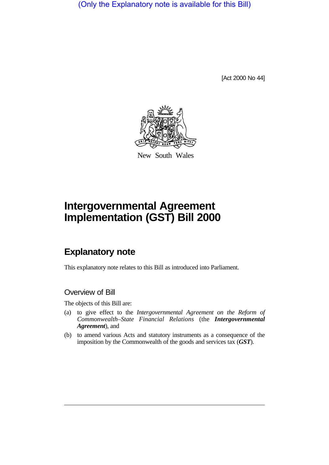(Only the Explanatory note is available for this Bill)

[Act 2000 No 44]



New South Wales

# **Intergovernmental Agreement Implementation (GST) Bill 2000**

## **Explanatory note**

This explanatory note relates to this Bill as introduced into Parliament.

#### Overview of Bill

The objects of this Bill are:

- (a) to give effect to the *Intergovernmental Agreement on the Reform of Commonwealth–State Financial Relations* (the *Intergovernmental Agreement*), and
- (b) to amend various Acts and statutory instruments as a consequence of the imposition by the Commonwealth of the goods and services tax (*GST*).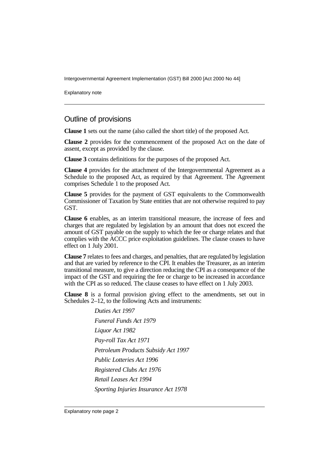Explanatory note

#### Outline of provisions

**Clause 1** sets out the name (also called the short title) of the proposed Act.

**Clause 2** provides for the commencement of the proposed Act on the date of assent, except as provided by the clause.

**Clause 3** contains definitions for the purposes of the proposed Act.

**Clause 4** provides for the attachment of the Intergovernmental Agreement as a Schedule to the proposed Act, as required by that Agreement. The Agreement comprises Schedule 1 to the proposed Act.

**Clause 5** provides for the payment of GST equivalents to the Commonwealth Commissioner of Taxation by State entities that are not otherwise required to pay GST.

**Clause 6** enables, as an interim transitional measure, the increase of fees and charges that are regulated by legislation by an amount that does not exceed the amount of GST payable on the supply to which the fee or charge relates and that complies with the ACCC price exploitation guidelines. The clause ceases to have effect on 1 July 2001.

**Clause 7** relates to fees and charges, and penalties, that are regulated by legislation and that are varied by reference to the CPI. It enables the Treasurer, as an interim transitional measure, to give a direction reducing the CPI as a consequence of the impact of the GST and requiring the fee or charge to be increased in accordance with the CPI as so reduced. The clause ceases to have effect on 1 July 2003.

**Clause 8** is a formal provision giving effect to the amendments, set out in Schedules 2–12, to the following Acts and instruments:

> *Duties Act 1997 Funeral Funds Act 1979 Liquor Act 1982 Pay-roll Tax Act 1971 Petroleum Products Subsidy Act 1997 Public Lotteries Act 1996 Registered Clubs Act 1976 Retail Leases Act 1994 Sporting Injuries Insurance Act 1978*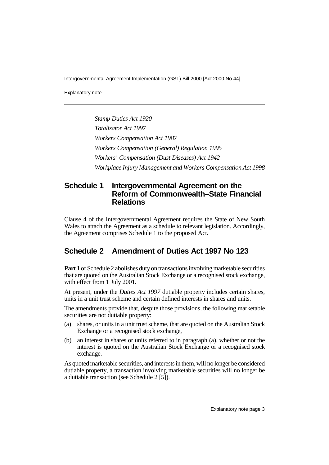Explanatory note

*Stamp Duties Act 1920 Totalizator Act 1997 Workers Compensation Act 1987 Workers Compensation (General) Regulation 1995 Workers' Compensation (Dust Diseases) Act 1942 Workplace Injury Management and Workers Compensation Act 1998*

## **Schedule 1 Intergovernmental Agreement on the Reform of Commonwealth–State Financial Relations**

Clause 4 of the Intergovernmental Agreement requires the State of New South Wales to attach the Agreement as a schedule to relevant legislation. Accordingly, the Agreement comprises Schedule 1 to the proposed Act.

#### **Schedule 2 Amendment of Duties Act 1997 No 123**

**Part 1** of Schedule 2 abolishes duty on transactions involving marketable securities that are quoted on the Australian Stock Exchange or a recognised stock exchange, with effect from 1 July 2001.

At present, under the *Duties Act 1997* dutiable property includes certain shares, units in a unit trust scheme and certain defined interests in shares and units.

The amendments provide that, despite those provisions, the following marketable securities are not dutiable property:

- (a) shares, or units in a unit trust scheme, that are quoted on the Australian Stock Exchange or a recognised stock exchange,
- (b) an interest in shares or units referred to in paragraph (a), whether or not the interest is quoted on the Australian Stock Exchange or a recognised stock exchange.

As quoted marketable securities, and interests in them, will no longer be considered dutiable property, a transaction involving marketable securities will no longer be a dutiable transaction (see Schedule 2 [5]).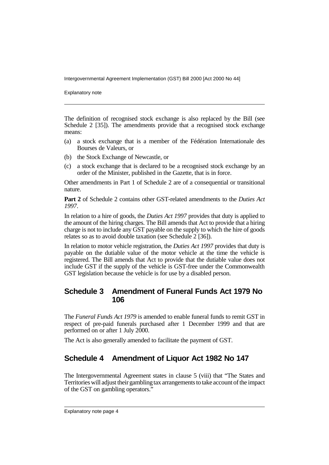Explanatory note

The definition of recognised stock exchange is also replaced by the Bill (see Schedule 2 [35]). The amendments provide that a recognised stock exchange means:

- (a) a stock exchange that is a member of the Fédération Internationale des Bourses de Valeurs, or
- (b) the Stock Exchange of Newcastle, or
- (c) a stock exchange that is declared to be a recognised stock exchange by an order of the Minister, published in the Gazette, that is in force.

Other amendments in Part 1 of Schedule 2 are of a consequential or transitional nature.

**Part 2** of Schedule 2 contains other GST-related amendments to the *Duties Act 1997*.

In relation to a hire of goods, the *Duties Act 1997* provides that duty is applied to the amount of the hiring charges. The Bill amends that Act to provide that a hiring charge is not to include any GST payable on the supply to which the hire of goods relates so as to avoid double taxation (see Schedule 2 [36]).

In relation to motor vehicle registration, the *Duties Act 1997* provides that duty is payable on the dutiable value of the motor vehicle at the time the vehicle is registered. The Bill amends that Act to provide that the dutiable value does not include GST if the supply of the vehicle is GST-free under the Commonwealth GST legislation because the vehicle is for use by a disabled person.

## **Schedule 3 Amendment of Funeral Funds Act 1979 No 106**

The *Funeral Funds Act 1979* is amended to enable funeral funds to remit GST in respect of pre-paid funerals purchased after 1 December 1999 and that are performed on or after 1 July 2000.

The Act is also generally amended to facilitate the payment of GST.

## **Schedule 4 Amendment of Liquor Act 1982 No 147**

The Intergovernmental Agreement states in clause 5 (viii) that "The States and Territories will adjust their gambling tax arrangements to take account of the impact of the GST on gambling operators."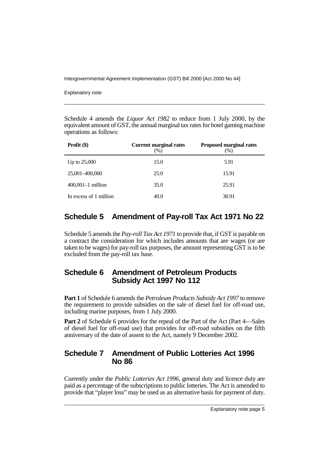Explanatory note

Schedule 4 amends the *Liquor Act 1982* to reduce from 1 July 2000, by the equivalent amount of GST, the annual marginal tax rates for hotel gaming machine operations as follows:

| Profit $(\$)$          | <b>Current marginal rates</b><br>$(\%)$ | <b>Proposed marginal rates</b><br>(%) |
|------------------------|-----------------------------------------|---------------------------------------|
| Up to $25,000$         | 15.0                                    | 5.91                                  |
| 25,001-400,000         | 25.0                                    | 15.91                                 |
| $400,001-1$ million    | 35.0                                    | 25.91                                 |
| In excess of 1 million | 40.0                                    | 30.91                                 |

## **Schedule 5 Amendment of Pay-roll Tax Act 1971 No 22**

Schedule 5 amends the *Pay-roll Tax Act 1971* to provide that, if GST is payable on a contract the consideration for which includes amounts that are wages (or are taken to be wages) for pay-roll tax purposes, the amount representing GST is to be excluded from the pay-roll tax base.

## **Schedule 6 Amendment of Petroleum Products Subsidy Act 1997 No 112**

**Part 1** of Schedule 6 amends the *Petroleum Products Subsidy Act 1997* to remove the requirement to provide subsidies on the sale of diesel fuel for off-road use, including marine purposes, from 1 July 2000.

**Part 2** of Schedule 6 provides for the repeal of the Part of the Act (Part 4—Sales of diesel fuel for off-road use) that provides for off-road subsidies on the fifth anniversary of the date of assent to the Act, namely 9 December 2002.

## **Schedule 7 Amendment of Public Lotteries Act 1996 No 86**

Currently under the *Public Lotteries Act 1996*, general duty and licence duty are paid as a percentage of the subscriptions to public lotteries. The Act is amended to provide that "player loss" may be used as an alternative basis for payment of duty.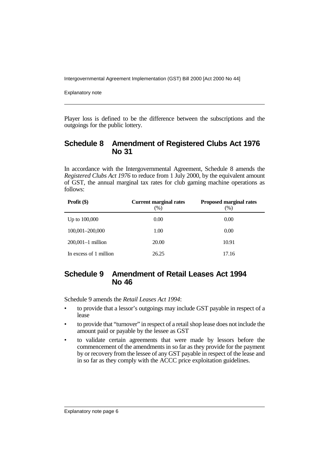Explanatory note

Player loss is defined to be the difference between the subscriptions and the outgoings for the public lottery.

#### **Schedule 8 Amendment of Registered Clubs Act 1976 No 31**

In accordance with the Intergovernmental Agreement, Schedule 8 amends the *Registered Clubs Act 1976* to reduce from 1 July 2000, by the equivalent amount of GST, the annual marginal tax rates for club gaming machine operations as follows:

| Profit $(\$)$          | <b>Current marginal rates</b><br>(%) | <b>Proposed marginal rates</b><br>$(\%)$ |
|------------------------|--------------------------------------|------------------------------------------|
| Up to $100,000$        | 0.00                                 | 0.00                                     |
| 100,001-200,000        | 1.00                                 | 0.00                                     |
| $200,001-1$ million    | 20.00                                | 10.91                                    |
| In excess of 1 million | 26.25                                | 17.16                                    |

## **Schedule 9 Amendment of Retail Leases Act 1994 No 46**

Schedule 9 amends the *Retail Leases Act 1994*:

- to provide that a lessor's outgoings may include GST payable in respect of a lease
- to provide that "turnover" in respect of a retail shop lease does not include the amount paid or payable by the lessee as GST
- to validate certain agreements that were made by lessors before the commencement of the amendments in so far as they provide for the payment by or recovery from the lessee of any GST payable in respect of the lease and in so far as they comply with the ACCC price exploitation guidelines.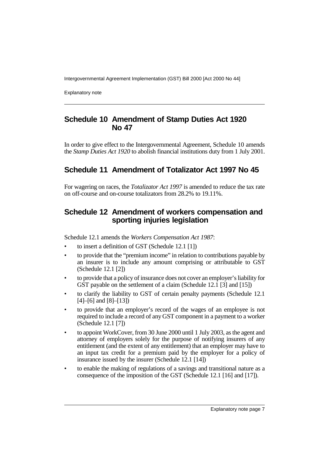Explanatory note

## **Schedule 10 Amendment of Stamp Duties Act 1920 No 47**

In order to give effect to the Intergovernmental Agreement, Schedule 10 amends the *Stamp Duties Act 1920* to abolish financial institutions duty from 1 July 2001.

## **Schedule 11 Amendment of Totalizator Act 1997 No 45**

For wagering on races, the *Totalizator Act 1997* is amended to reduce the tax rate on off-course and on-course totalizators from 28.2% to 19.11%.

## **Schedule 12 Amendment of workers compensation and sporting injuries legislation**

Schedule 12.1 amends the *Workers Compensation Act 1987*:

- to insert a definition of GST (Schedule 12.1 [1])
- to provide that the "premium income" in relation to contributions payable by an insurer is to include any amount comprising or attributable to GST (Schedule 12.1 [2])
- to provide that a policy of insurance does not cover an employer's liability for GST payable on the settlement of a claim (Schedule 12.1 [3] and [15])
- to clarify the liability to GST of certain penalty payments (Schedule 12.1 [4]–[6] and [8]–[13])
- to provide that an employer's record of the wages of an employee is not required to include a record of any GST component in a payment to a worker (Schedule 12.1 [7])
- to appoint WorkCover, from 30 June 2000 until 1 July 2003, as the agent and attorney of employers solely for the purpose of notifying insurers of any entitlement (and the extent of any entitlement) that an employer may have to an input tax credit for a premium paid by the employer for a policy of insurance issued by the insurer (Schedule 12.1 [14])
- to enable the making of regulations of a savings and transitional nature as a consequence of the imposition of the GST (Schedule 12.1 [16] and [17]).